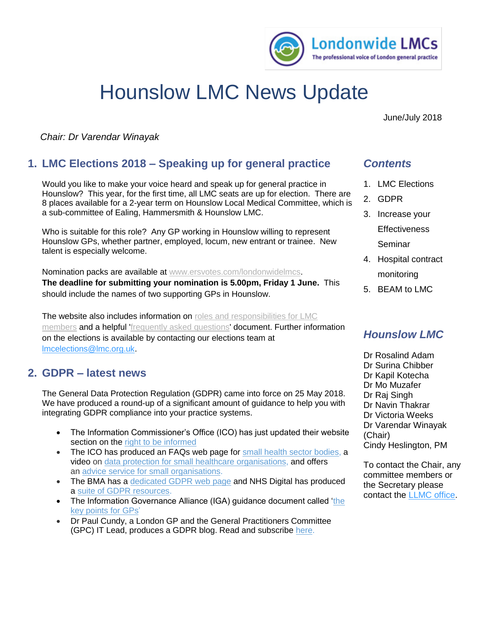

# Hounslow LMC News Update

June/July 2018

*Chair: Dr Varendar Winayak*

# **1. LMC Elections 2018 – Speaking up for general practice**

Would you like to make your voice heard and speak up for general practice in Hounslow? This year, for the first time, all LMC seats are up for election. There are 8 places available for a 2-year term on Hounslow Local Medical Committee, which is a sub-committee of Ealing, Hammersmith & Hounslow LMC.

Who is suitable for this role? Any GP working in Hounslow willing to represent Hounslow GPs, whether partner, employed, locum, new entrant or trainee. New talent is especially welcome.

Nomination packs are available at [www.ersvotes.com/londonwidelmcs.](http://www.ersvotes.com/londonwidelmcs)

**The deadline for submitting your nomination is 5.00pm, Friday 1 June.** This should include the names of two supporting GPs in Hounslow.

The website also includes information on roles and responsibilities for LMC [members](https://secure.ersvotes.com/V2-4-3/(S(455bae69-9a3e-4c6c-8f43-135e875fcebbAMICgEAAAAAAAA=KoytWW778p2oxBSgW6R))/Resources/Attachments/k0346_1/roles_and_responsibilities.pdf) and a helpful ['frequently asked questions'](https://secure.ersvotes.com/V2-4-3/(S(455bae69-9a3e-4c6c-8f43-135e875fcebbAMICgEAAAAAAAA=KoytWW778p2oxBSgW6R))/Resources/Attachments/k0346_1/faqs_lmc_elections.pdf) document. Further information on the elections is available by contacting our elections team at [lmcelections@lmc.org.uk.](mailto:lmcelections@lmc.org.uk?subject=LMC%20elections%202018%20website%20enquiry)

## **2. GDPR – latest news**

The General Data Protection Regulation (GDPR) came into force on 25 May 2018. We have produced a round-up of a significant amount of guidance to help you with integrating GDPR compliance into your practice systems.

- The Information Commissioner's Office (ICO) has just updated their website section on the right to be [informed](https://ico.org.uk/for-organisations/guide-to-the-general-data-protection-regulation-gdpr/individual-rights/right-to-be-informed/)
- The ICO has produced an FAQs web page for small health sector [bodies,](https://ico.org.uk/for-organisations/health/health-gdpr-faqs/) a video on data protection for small healthcare [organisations,](https://www.youtube.com/watch?v=uEuFGzXVY8s) and offers an advice service for small [organisations.](https://ico.org.uk/global/contact-us/advice-service-for-small-organisations/)
- The BMA has a [dedicated](https://www.bma.org.uk/advice/employment/ethics/confidentiality-and-health-records/gps-as-data-controllers) GDPR web page and NHS Digital has produced a suite of GDPR [resources.](https://digital.nhs.uk/data-and-information/looking-after-information/data-security-and-information-governance/information-governance-alliance-iga/general-data-protection-regulation-gdpr-guidance)
- The Information Governance Alliance (IGA) guidance document called ['the](https://www.lmc.org.uk/visageimages/files/Londonwide/2018/IGAGDPRGP0318.pdf) key [points](https://www.lmc.org.uk/visageimages/files/Londonwide/2018/IGAGDPRGP0318.pdf) for GPs'
- Dr Paul Cundy, a London GP and the General Practitioners Committee (GPC) IT Lead, produces a GDPR blog. Read and subscribe [here.](https://www.bma.org.uk/connecting-doctors/the_practice/b/weblog/posts/gdpr-for-gps-from-the-it-lead-for-gpc)

## *Contents*

- 1. LMC Elections
- 2. GDPR
- 3. Increase your **Effectiveness** Seminar
- 4. Hospital contract monitoring
- 5. BEAM to LMC

# *Hounslow LMC*

Dr Rosalind Adam Dr Surina Chibber Dr Kapil Kotecha Dr Mo Muzafer Dr Raj Singh Dr Navin Thakrar Dr Victoria Weeks Dr Varendar Winayak (Chair) Cindy Heslington, PM

To contact the Chair, any committee members or the Secretary please contact the [LLMC office.](mailto:esther.bennett@lmc.org.uk)